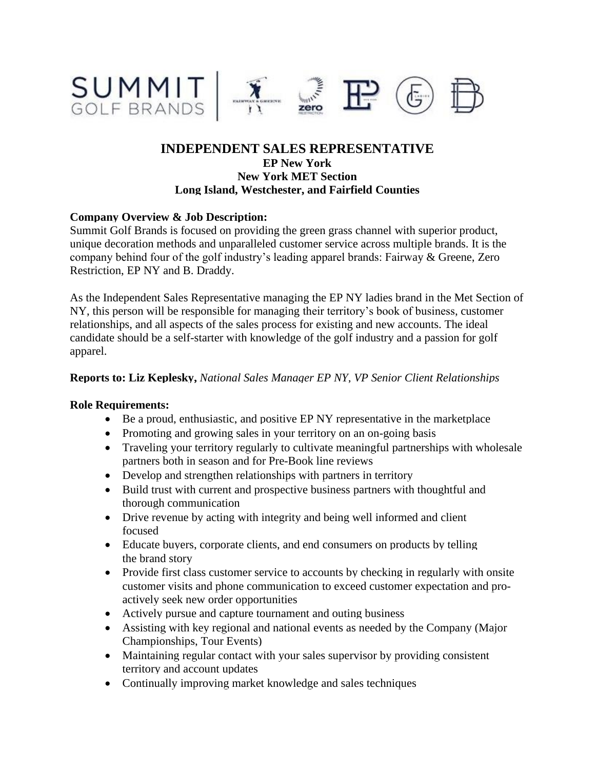

# **INDEPENDENT SALES REPRESENTATIVE EP New York New York MET Section Long Island, Westchester, and Fairfield Counties**

## **Company Overview & Job Description:**

Summit Golf Brands is focused on providing the green grass channel with superior product, unique decoration methods and unparalleled customer service across multiple brands. It is the company behind four of the golf industry's leading apparel brands: Fairway & Greene, Zero Restriction, EP NY and B. Draddy.

As the Independent Sales Representative managing the EP NY ladies brand in the Met Section of NY, this person will be responsible for managing their territory's book of business, customer relationships, and all aspects of the sales process for existing and new accounts. The ideal candidate should be a self-starter with knowledge of the golf industry and a passion for golf apparel.

#### **Reports to: Liz Keplesky,** *National Sales Manager EP NY, VP Senior Client Relationships*

#### **Role Requirements:**

- Be a proud, enthusiastic, and positive EP NY representative in the marketplace
- Promoting and growing sales in your territory on an on-going basis
- Traveling your territory regularly to cultivate meaningful partnerships with wholesale partners both in season and for Pre-Book line reviews
- Develop and strengthen relationships with partners in territory
- Build trust with current and prospective business partners with thoughtful and thorough communication
- Drive revenue by acting with integrity and being well informed and client focused
- Educate buyers, corporate clients, and end consumers on products by telling the brand story
- Provide first class customer service to accounts by checking in regularly with onsite customer visits and phone communication to exceed customer expectation and proactively seek new order opportunities
- Actively pursue and capture tournament and outing business
- Assisting with key regional and national events as needed by the Company (Major Championships, Tour Events)
- Maintaining regular contact with your sales supervisor by providing consistent territory and account updates
- Continually improving market knowledge and sales techniques